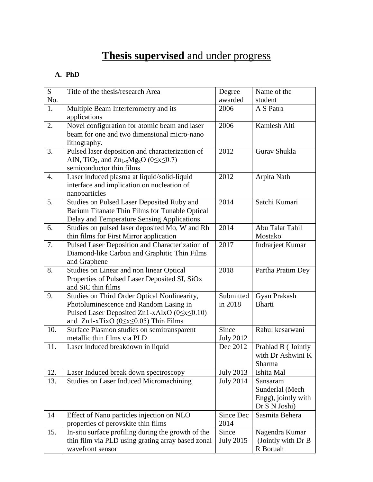## **Thesis supervised** and under progress

## **A. PhD**

| S   | Title of the thesis/research Area                                                       | Degree           | Name of the         |
|-----|-----------------------------------------------------------------------------------------|------------------|---------------------|
| No. |                                                                                         | awarded          | student             |
| 1.  | Multiple Beam Interferometry and its                                                    | 2006             | A S Patra           |
|     | applications                                                                            |                  |                     |
| 2.  | Novel configuration for atomic beam and laser                                           | 2006             | Kamlesh Alti        |
|     | beam for one and two dimensional micro-nano                                             |                  |                     |
|     | lithography.                                                                            |                  |                     |
| 3.  | Pulsed laser deposition and characterization of                                         | 2012             | Gurav Shukla        |
|     | AlN, TiO <sub>2</sub> , and Zn <sub>1-x</sub> Mg <sub>x</sub> O (0 $\leq$ x $\leq$ 0.7) |                  |                     |
|     | semiconductor thin films                                                                |                  |                     |
| 4.  | Laser induced plasma at liquid/solid-liquid                                             | 2012             | Arpita Nath         |
|     | interface and implication on nucleation of                                              |                  |                     |
|     | nanoparticles                                                                           |                  |                     |
| 5.  | Studies on Pulsed Laser Deposited Ruby and                                              | 2014             | Satchi Kumari       |
|     | Barium Titanate Thin Films for Tunable Optical                                          |                  |                     |
|     | Delay and Temperature Sensing Applications                                              |                  |                     |
| 6.  | Studies on pulsed laser deposited Mo, W and Rh                                          | 2014             | Abu Talat Tahil     |
|     | thin films for First Mirror application                                                 |                  | Mostako             |
| 7.  | Pulsed Laser Deposition and Characterization of                                         | 2017             | Indrarjeet Kumar    |
|     | Diamond-like Carbon and Graphitic Thin Films                                            |                  |                     |
|     | and Graphene                                                                            |                  |                     |
| 8.  | Studies on Linear and non linear Optical                                                | 2018             | Partha Pratim Dey   |
|     | Properties of Pulsed Laser Deposited SI, SiOx<br>and SiC thin films                     |                  |                     |
| 9.  | Studies on Third Order Optical Nonlinearity,                                            | Submitted        | Gyan Prakash        |
|     | Photoluminescence and Random Lasing in                                                  | in 2018          | <b>Bharti</b>       |
|     | Pulsed Laser Deposited Zn1-xAlxO ( $0 \le x \le 0.10$ )                                 |                  |                     |
|     | and $Zn1-xTixO$ (0 $\leq$ x $\leq$ 0.05) Thin Films                                     |                  |                     |
| 10. | Surface Plasmon studies on semitransparent                                              | Since            | Rahul kesarwani     |
|     | metallic thin films via PLD                                                             | <b>July 2012</b> |                     |
| 11. | Laser induced breakdown in liquid                                                       | Dec 2012         | Prahlad B (Jointly  |
|     |                                                                                         |                  | with Dr Ashwini K   |
|     |                                                                                         |                  | Sharma              |
| 12. | Laser Induced break down spectroscopy                                                   | <b>July 2013</b> | Ishita Mal          |
| 13. | <b>Studies on Laser Induced Micromachining</b>                                          | <b>July 2014</b> | Sansaram            |
|     |                                                                                         |                  | Sunderlal (Mech     |
|     |                                                                                         |                  | Engg), jointly with |
|     |                                                                                         |                  | Dr S N Joshi)       |
| 14  | Effect of Nano particles injection on NLO                                               | Since Dec        | Sasmita Behera      |
|     | properties of perovskite thin films                                                     | 2014             |                     |
| 15. | In-situ surface profiling during the growth of the                                      | Since            | Nagendra Kumar      |
|     | thin film via PLD using grating array based zonal                                       | <b>July 2015</b> | (Jointly with Dr B  |
|     | wavefront sensor                                                                        |                  | R Boruah            |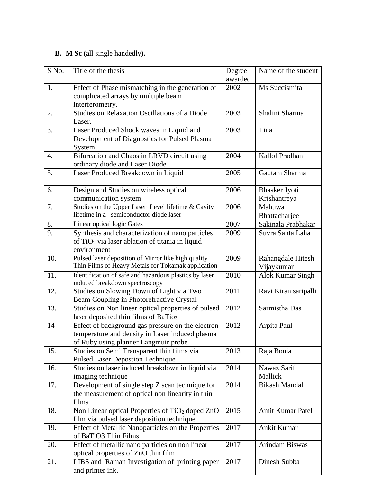## **B. M Sc (**all single handedly**).**

| S No. | Title of the thesis                                         | Degree  | Name of the student  |
|-------|-------------------------------------------------------------|---------|----------------------|
|       |                                                             | awarded |                      |
| 1.    | Effect of Phase mismatching in the generation of            | 2002    | Ms Succismita        |
|       | complicated arrays by multiple beam                         |         |                      |
|       | interferometry.                                             |         |                      |
| 2.    | Studies on Relaxation Oscillations of a Diode               | 2003    | Shalini Sharma       |
|       | Laser.                                                      |         |                      |
| 3.    | Laser Produced Shock waves in Liquid and                    | 2003    | Tina                 |
|       | Development of Diagnostics for Pulsed Plasma                |         |                      |
|       | System.                                                     |         |                      |
| 4.    | Bifurcation and Chaos in LRVD circuit using                 | 2004    | Kallol Pradhan       |
|       | ordinary diode and Laser Diode                              |         |                      |
| 5.    | Laser Produced Breakdown in Liquid                          | 2005    | Gautam Sharma        |
|       |                                                             |         |                      |
| 6.    | Design and Studies on wireless optical                      | 2006    | <b>Bhasker Jyoti</b> |
|       | communication system                                        |         | Krishantreya         |
| 7.    | Studies on the Upper Laser Level lifetime & Cavity          | 2006    | Mahuwa               |
|       | lifetime in a semiconductor diode laser                     |         | Bhattacharjee        |
| 8.    | Linear optical logic Gates                                  | 2007    | Sakinala Prabhakar   |
| 9.    | Synthesis and characterization of nano particles            | 2009    | Suvra Santa Laha     |
|       | of TiO <sub>2</sub> via laser ablation of titania in liquid |         |                      |
|       | environment                                                 |         |                      |
| 10.   | Pulsed laser deposition of Mirror like high quality         | 2009    | Rahangdale Hitesh    |
|       | Thin Films of Heavy Metals for Tokamak application          |         | Vijaykumar           |
| 11.   | Identification of safe and hazardous plastics by laser      | 2010    | Alok Kumar Singh     |
|       | induced breakdown spectroscopy                              |         |                      |
| 12.   | Studies on Slowing Down of Light via Two                    | 2011    | Ravi Kiran saripalli |
|       | Beam Coupling in Photorefractive Crystal                    |         |                      |
| 13.   | Studies on Non linear optical properties of pulsed          | 2012    | Sarmistha Das        |
|       | laser deposited thin films of BaTio <sub>3</sub>            |         |                      |
| 14    | Effect of background gas pressure on the electron           | 2012    | Arpita Paul          |
|       | temperature and density in Laser induced plasma             |         |                      |
|       | of Ruby using planner Langmuir probe                        |         |                      |
| 15.   | Studies on Semi Transparent thin films via                  | 2013    | Raja Bonia           |
|       | <b>Pulsed Laser Depostion Technique</b>                     |         |                      |
| 16.   | Studies on laser induced breakdown in liquid via            | 2014    | Nawaz Sarif          |
|       | imaging technique                                           |         | Mallick              |
| 17.   | Development of single step Z scan technique for             | 2014    | <b>Bikash Mandal</b> |
|       | the measurement of optical non linearity in thin            |         |                      |
|       | films                                                       |         |                      |
| 18.   | Non Linear optical Properties of TiO <sub>2</sub> doped ZnO | 2015    | Amit Kumar Patel     |
|       | film via pulsed laser deposition technique                  |         |                      |
| 19.   | Effect of Metallic Nanoparticles on the Properties          | 2017    | <b>Ankit Kumar</b>   |
|       | of BaTiO3 Thin Films                                        |         |                      |
| 20.   | Effect of metallic nano particles on non linear             | 2017    | Arindam Biswas       |
|       | optical properties of ZnO thin film                         |         |                      |
| 21.   | LIBS and Raman Investigation of printing paper              | 2017    | Dinesh Subba         |
|       | and printer ink.                                            |         |                      |